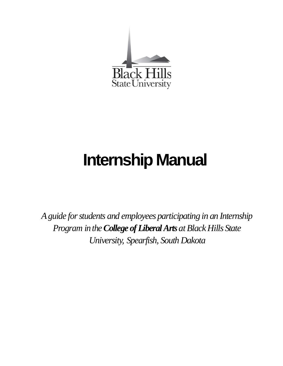

# **Internship Manual**

*Aguide forstudents and employees participating in an Internship Program* in the *College of Liberal Arts* at Black Hills State *University, Spearfish, South Dakota*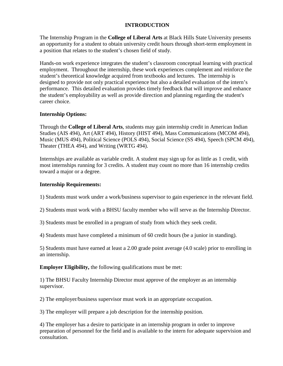#### **INTRODUCTION**

The Internship Program in the **College of Liberal Arts** at Black Hills State University presents an opportunity for a student to obtain university credit hours through short-term employment in a position that relates to the student's chosen field of study.

Hands-on work experience integrates the student's classroom conceptual learning with practical employment. Throughout the internship, these work experiences complement and reinforce the student's theoretical knowledge acquired from textbooks and lectures. The internship is designed to provide not only practical experience but also a detailed evaluation of the intern's performance. This detailed evaluation provides timely feedback that will improve and enhance the student's employability as well as provide direction and planning regarding the student's career choice.

#### **Internship Options:**

Through the **College of Liberal Arts**, students may gain internship credit in American Indian Studies (AIS 494), Art (ART 494), History (HIST 494), Mass Communications (MCOM 494), Music (MUS 494), Political Science (POLS 494), Social Science (SS 494), Speech (SPCM 494), Theater (THEA 494), and Writing (WRTG 494).

Internships are available as variable credit. A student may sign up for as little as 1 credit, with most internships running for 3 credits. A student may count no more than 16 internship credits toward a major or a degree.

#### **Internship Requirements:**

1) Students must work under a work/business supervisor to gain experience in the relevant field.

2) Students must work with a BHSU faculty member who will serve as the Internship Director.

3) Students must be enrolled in a program of study from which they seek credit.

4) Students must have completed a minimum of 60 credit hours (be a junior in standing).

5) Students must have earned at least a 2.00 grade point average (4.0 scale) prior to enrolling in an internship.

**Employer Eligibility, the following qualifications must be met:** 

1) The BHSU Faculty Internship Director must approve of the employer as an internship supervisor.

2) The employer/business supervisor must work in an appropriate occupation.

3) The employer will prepare a job description for the internship position.

4) The employer has a desire to participate in an internship program in order to improve preparation of personnel for the field and is available to the intern for adequate supervision and consultation.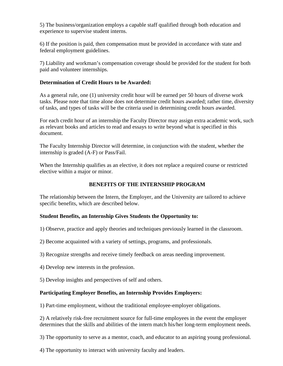5) The business/organization employs a capable staff qualified through both education and experience to supervise student interns.

6) If the position is paid, then compensation must be provided in accordance with state and federal employment guidelines.

7) Liability and workman's compensation coverage should be provided for the student for both paid and volunteer internships.

#### **Determination of Credit Hours to be Awarded:**

As a general rule, one (1) university credit hour will be earned per 50 hours of diverse work tasks. Please note that time alone does not determine credit hours awarded; rather time, diversity of tasks, and types of tasks will be the criteria used in determining credit hours awarded.

For each credit hour of an internship the Faculty Director may assign extra academic work, such as relevant books and articles to read and essays to write beyond what is specified in this document.

The Faculty Internship Director will determine, in conjunction with the student, whether the internship is graded (A-F) or Pass/Fail.

When the Internship qualifies as an elective, it does not replace a required course or restricted elective within a major or minor.

# **BENEFITS OF THE INTERNSHIP PROGRAM**

The relationship between the Intern, the Employer, and the University are tailored to achieve specific benefits, which are described below.

#### **Student Benefits, an Internship Gives Students the Opportunity to:**

1) Observe, practice and apply theories and techniques previously learned in the classroom.

- 2) Become acquainted with a variety of settings, programs, and professionals.
- 3) Recognize strengths and receive timely feedback on areas needing improvement.
- 4) Develop new interests in the profession.
- 5) Develop insights and perspectives of self and others.

# **Participating Employer Benefits, an Internship Provides Employers:**

1) Part-time employment, without the traditional employee-employer obligations.

2) A relatively risk-free recruitment source for full-time employees in the event the employer determines that the skills and abilities of the intern match his/her long-term employment needs.

3) The opportunity to serve as a mentor, coach, and educator to an aspiring young professional.

4) The opportunity to interact with university faculty and leaders.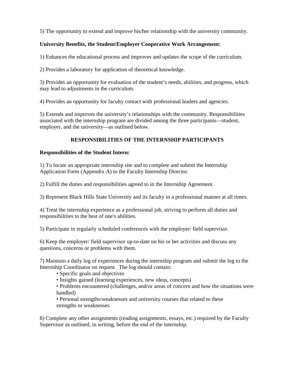5) The opportunity to extend and improve his/her relationship with the university community.

# **University Benefits, the Student/Employer Cooperative Work Arrangement:**

1) Enhances the educational process and improves and updates the scope of the curriculum.

2) Provides a laboratory for application of theoretical knowledge.

3) Provides an opportunity for evaluation of the student's needs, abilities, and progress, which may lead to adjustments in the curriculum.

4) Provides an opportunity for faculty contact with professional leaders and agencies.

5) Extends and improves the university's relationships with the community. Responsibilities associated with the internship program are divided among the three participants—student, employer, and the university—as outlined below.

# **RESPONSIBILITIES OF THE INTERNSHIP PARTICIPANTS**

#### **Responsibilities of the Student Intern:**

1) To locate an appropriate internship site and to complete and submit the Internship Application Form (Appendix A) to the Faculty Internship Director.

2) Fulfill the duties and responsibilities agreed to in the Internship Agreement.

3) Represent Black Hills State University and its faculty in a professional manner at all times.

4) Treat the internship experience as a professional job, striving to perform all duties and responsibilities to the best of one's abilities.

5) Participate in regularly scheduled conferences with the employer/ field supervisor.

6) Keep the employer/ field supervisor up-to-date on his or her activities and discuss any questions, concerns or problems with them.

7) Maintain a daily log of experiences during the internship program and submit the log to the Internship Coordinator on request. The log should contain:

• Specific goals and objectives

- Insights gained (learning experiences, new ideas, concepts)
- Problems encountered (challenges, and/or areas of concern and how the situations were handled)

• Personal strengths/weaknesses and university courses that related to these strengths or weaknesses

8) Complete any other assignments (reading assignments, essays, etc.) required by the Faculty Supervisor as outlined, in writing, before the end of the internship.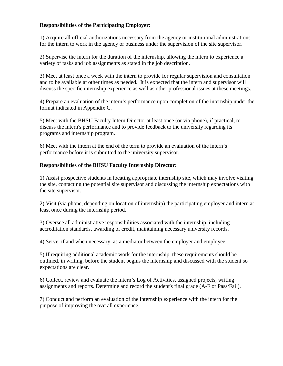#### **Responsibilities of the Participating Employer:**

1) Acquire all official authorizations necessary from the agency or institutional administrations for the intern to work in the agency or business under the supervision of the site supervisor.

2) Supervise the intern for the duration of the internship, allowing the intern to experience a variety of tasks and job assignments as stated in the job description.

3) Meet at least once a week with the intern to provide for regular supervision and consultation and to be available at other times as needed. It is expected that the intern and supervisor will discuss the specific internship experience as well as other professional issues at these meetings.

4) Prepare an evaluation of the intern's performance upon completion of the internship under the format indicated in Appendix C.

5) Meet with the BHSU Faculty Intern Director at least once (or via phone), if practical, to discuss the intern's performance and to provide feedback to the university regarding its programs and internship program.

6) Meet with the intern at the end of the term to provide an evaluation of the intern's performance before it is submitted to the university supervisor.

#### **Responsibilities of the BHSU Faculty Internship Director:**

1) Assist prospective students in locating appropriate internship site, which may involve visiting the site, contacting the potential site supervisor and discussing the internship expectations with the site supervisor.

2) Visit (via phone, depending on location of internship) the participating employer and intern at least once during the internship period.

3) Oversee all administrative responsibilities associated with the internship, including accreditation standards, awarding of credit, maintaining necessary university records.

4) Serve, if and when necessary, as a mediator between the employer and employee.

5) If requiring additional academic work for the internship, these requirements should be outlined, in writing, before the student begins the internship and discussed with the student so expectations are clear.

6) Collect, review and evaluate the intern's Log of Activities, assigned projects, writing assignments and reports. Determine and record the student's final grade (A-F or Pass/Fail).

7) Conduct and perform an evaluation of the internship experience with the intern for the purpose of improving the overall experience.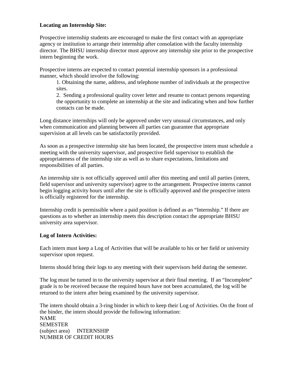#### **Locating an Internship Site:**

Prospective internship students are encouraged to make the first contact with an appropriate agency or institution to arrange their internship after consolation with the faculty internship director. The BHSU internship director must approve any internship site prior to the prospective intern beginning the work.

Prospective interns are expected to contact potential internship sponsors in a professional manner, which should involve the following:

1. Obtaining the name, address, and telephone number of individuals at the prospective sites.

2. Sending a professional quality cover letter and resume to contact persons requesting the opportunity to complete an internship at the site and indicating when and how further contacts can be made.

Long distance internships will only be approved under very unusual circumstances, and only when communication and planning between all parties can guarantee that appropriate supervision at all levels can be satisfactorily provided.

As soon as a prospective internship site has been located, the prospective intern must schedule a meeting with the university supervisor, and prospective field supervisor to establish the appropriateness of the internship site as well as to share expectations, limitations and responsibilities of all parties.

An internship site is not officially approved until after this meeting and until all parties (intern, field supervisor and university supervisor) agree to the arrangement. Prospective interns cannot begin logging activity hours until after the site is officially approved and the prospective intern is officially registered for the internship.

Internship credit is permissible where a paid position is defined as an "Internship." If there are questions as to whether an internship meets this description contact the appropriate BHSU university area supervisor.

#### **Log of Intern Activities:**

Each intern must keep a Log of Activities that will be available to his or her field or university supervisor upon request.

Interns should bring their logs to any meeting with their supervisors held during the semester.

The log must be turned in to the university supervisor at their final meeting. If an "Incomplete" grade is to be received because the required hours have not been accumulated, the log will be returned to the intern after being examined by the university supervisor.

The intern should obtain a 3-ring binder in which to keep their Log of Activities. On the front of the binder, the intern should provide the following information: NAME **SEMESTER** (subject area) INTERNSHIP NUMBER OF CREDIT HOURS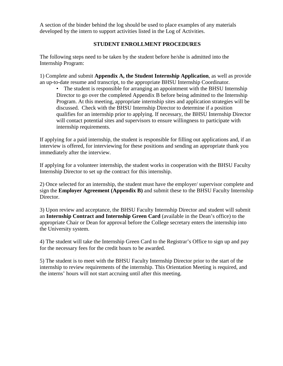A section of the binder behind the log should be used to place examples of any materials developed by the intern to support activities listed in the Log of Activities.

#### **STUDENT ENROLLMENT PROCEDURES**

The following steps need to be taken by the student before he/she is admitted into the Internship Program:

1) Complete and submit **Appendix A, the Student Internship Application**, as well as provide an up-to-date resume and transcript, to the appropriate BHSU Internship Coordinator.

• The student is responsible for arranging an appointment with the BHSU Internship Director to go over the completed Appendix B before being admitted to the Internship Program. At this meeting, appropriate internship sites and application strategies will be discussed. Check with the BHSU Internship Director to determine if a position qualifies for an internship prior to applying. If necessary, the BHSU Internship Director will contact potential sites and supervisors to ensure willingness to participate with internship requirements.

If applying for a paid internship, the student is responsible for filling out applications and, if an interview is offered, for interviewing for these positions and sending an appropriate thank you immediately after the interview.

If applying for a volunteer internship, the student works in cooperation with the BHSU Faculty Internship Director to set up the contract for this internship.

2) Once selected for an internship, the student must have the employer/ supervisor complete and sign the **Employer Agreement (Appendix B)** and submit these to the BHSU Faculty Internship Director.

3) Upon review and acceptance, the BHSU Faculty Internship Director and student will submit an **Internship Contract and Internship Green Card** (available in the Dean's office) to the appropriate Chair or Dean for approval before the College secretary enters the internship into the University system.

4) The student will take the Internship Green Card to the Registrar's Office to sign up and pay for the necessary fees for the credit hours to be awarded.

5) The student is to meet with the BHSU Faculty Internship Director prior to the start of the internship to review requirements of the internship. This Orientation Meeting is required, and the interns' hours will not start accruing until after this meeting.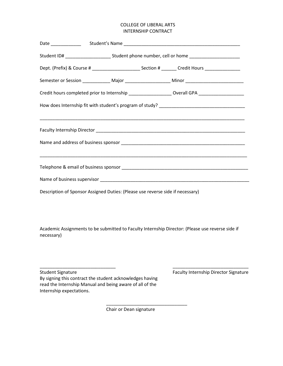#### COLLEGE OF LIBERAL ARTS INTERNSHIP CONTRACT

| Student ID# __________________________Student phone number, cell or home __________________________ |                                                                                                                       |  |  |  |  |
|-----------------------------------------------------------------------------------------------------|-----------------------------------------------------------------------------------------------------------------------|--|--|--|--|
|                                                                                                     | Dept. (Prefix) & Course # _____________________________Section # ________ Credit Hours _____________                  |  |  |  |  |
|                                                                                                     | Semester or Session _______________ Major _______________________ Minor ___________________________                   |  |  |  |  |
|                                                                                                     | Credit hours completed prior to Internship ____________________ Overall GPA _______________________                   |  |  |  |  |
|                                                                                                     |                                                                                                                       |  |  |  |  |
|                                                                                                     |                                                                                                                       |  |  |  |  |
|                                                                                                     |                                                                                                                       |  |  |  |  |
|                                                                                                     |                                                                                                                       |  |  |  |  |
|                                                                                                     | <u> 1989 - Johann Harry Harry Harry Harry Harry Harry Harry Harry Harry Harry Harry Harry Harry Harry Harry Harry</u> |  |  |  |  |
|                                                                                                     |                                                                                                                       |  |  |  |  |
|                                                                                                     |                                                                                                                       |  |  |  |  |
|                                                                                                     | Description of Sponsor Assigned Duties: (Please use reverse side if necessary)                                        |  |  |  |  |

Academic Assignments to be submitted to Faculty Internship Director: (Please use reverse side if necessary)

\_\_\_\_\_\_\_\_\_\_\_\_\_\_\_\_\_\_\_\_\_\_\_\_\_\_\_\_\_\_ \_\_\_\_\_\_\_\_\_\_\_\_\_\_\_\_\_\_\_\_\_\_\_\_\_\_\_\_\_\_

\_\_\_\_\_\_\_\_\_\_\_\_\_\_\_\_\_\_\_\_\_\_\_\_\_\_\_\_\_\_\_\_

Student Signature Faculty Internship Director Signature By signing this contract the student acknowledges having read the Internship Manual and being aware of all of the Internship expectations.

Chair or Dean signature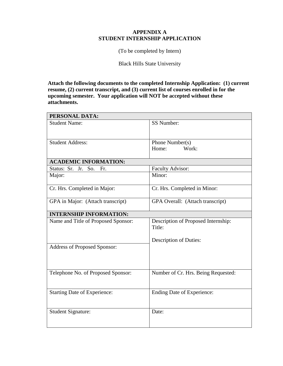#### **APPENDIX A STUDENT INTERNSHIP APPLICATION**

(To be completed by Intern)

Black Hills State University

**Attach the following documents to the completed Internship Application: (1) current resume, (2) current transcript, and (3) current list of courses enrolled in for the upcoming semester. Your application will NOT be accepted without these attachments.**

| PERSONAL DATA:                      |                                               |  |  |
|-------------------------------------|-----------------------------------------------|--|--|
| <b>Student Name:</b>                | SS Number:                                    |  |  |
|                                     |                                               |  |  |
| <b>Student Address:</b>             | Phone Number(s)                               |  |  |
|                                     | Home:<br>Work:                                |  |  |
| <b>ACADEMIC INFORMATION:</b>        |                                               |  |  |
| Status: Sr. Jr. So.<br>Fr.          | Faculty Advisor:                              |  |  |
| Major:                              | Minor:                                        |  |  |
| Cr. Hrs. Completed in Major:        | Cr. Hrs. Completed in Minor:                  |  |  |
| GPA in Major: (Attach transcript)   | GPA Overall: (Attach transcript)              |  |  |
| <b>INTERNSHIP INFORMATION:</b>      |                                               |  |  |
| Name and Title of Proposed Sponsor: | Description of Proposed Internship:<br>Title: |  |  |
|                                     | <b>Description of Duties:</b>                 |  |  |
| Address of Proposed Sponsor:        |                                               |  |  |
|                                     |                                               |  |  |
| Telephone No. of Proposed Sponsor:  | Number of Cr. Hrs. Being Requested:           |  |  |
|                                     |                                               |  |  |
| <b>Starting Date of Experience:</b> | <b>Ending Date of Experience:</b>             |  |  |
|                                     |                                               |  |  |
| <b>Student Signature:</b>           | Date:                                         |  |  |
|                                     |                                               |  |  |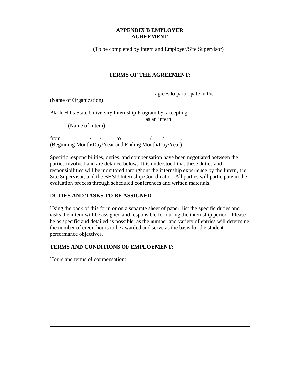#### **APPENDIX B EMPLOYER AGREEMENT**

(To be completed by Intern and Employer/Site Supervisor)

#### **TERMS OF THE AGREEMENT:**

**agrees** to participate in the

(Name of Organization)

Black Hills State University Internship Program by accepting

**as an internal as an internal as an internal as an internal as an internal as an internal as an internal as an** 

(Name of intern)

from / / to / / . (Beginning Month/Day/Year and Ending Month/Day/Year)

Specific responsibilities, duties, and compensation have been negotiated between the parties involved and are detailed below. It is understood that these duties and responsibilities will be monitored throughout the internship experience by the Intern, the Site Supervisor, and the BHSU Internship Coordinator. All parties will participate in the evaluation process through scheduled conferences and written materials.

# **DUTIES AND TASKS TO BE ASSIGNED**:

Using the back of this form or on a separate sheet of paper, list the specific duties and tasks the intern will be assigned and responsible for during the internship period. Please be as specific and detailed as possible, as the number and variety of entries will determine the number of credit hours to be awarded and serve as the basis for the student performance objectives.

#### **TERMS AND CONDITIONS OF EMPLOYMENT:**

Hours and terms of compensation: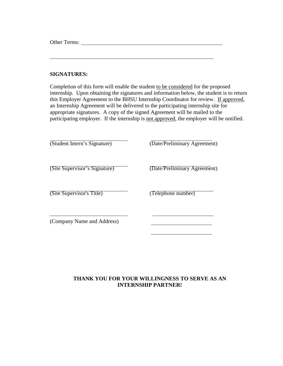Other Terms:

#### **SIGNATURES:**

Completion of this form will enable the student to be considered for the proposed internship. Upon obtaining the signatures and information below, the student is to return this Employer Agreement to the BHSU Internship Coordinator for review. If approved, an Internship Agreement will be delivered to the participating internship site for appropriate signatures. A copy of the signed Agreement will be mailed to the participating employer. If the internship is not approved, the employer will be notified.

| (Student Intern's Signature)  | (Date/Preliminary Agreement) |
|-------------------------------|------------------------------|
| (Site Supervisor's Signature) | (Date/Preliminary Agreement) |
| (Site Supervisor's Title)     | (Telephone number)           |
| (Company Name and Address)    |                              |

# **THANK YOU FOR YOUR WILLINGNESS TO SERVE AS AN INTERNSHIP PARTNER!**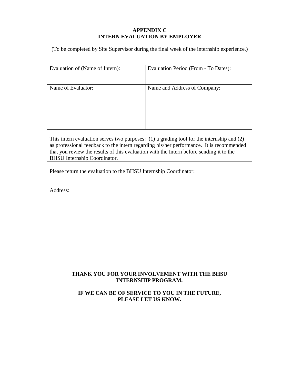# **APPENDIX C INTERN EVALUATION BY EMPLOYER**

(To be completed by Site Supervisor during the final week of the internship experience.)

| Evaluation of (Name of Intern):                                                                                                                                                                                                                                                                                            | Evaluation Period (From - To Dates):                                       |  |  |  |  |  |
|----------------------------------------------------------------------------------------------------------------------------------------------------------------------------------------------------------------------------------------------------------------------------------------------------------------------------|----------------------------------------------------------------------------|--|--|--|--|--|
| Name of Evaluator:                                                                                                                                                                                                                                                                                                         | Name and Address of Company:                                               |  |  |  |  |  |
| This intern evaluation serves two purposes: $(1)$ a grading tool for the internship and $(2)$<br>as professional feedback to the intern regarding his/her performance. It is recommended<br>that you review the results of this evaluation with the Intern before sending it to the<br><b>BHSU</b> Internship Coordinator. |                                                                            |  |  |  |  |  |
| Please return the evaluation to the BHSU Internship Coordinator:                                                                                                                                                                                                                                                           |                                                                            |  |  |  |  |  |
| Address:                                                                                                                                                                                                                                                                                                                   |                                                                            |  |  |  |  |  |
|                                                                                                                                                                                                                                                                                                                            | THANK YOU FOR YOUR INVOLVEMENT WITH THE BHSU<br><b>INTERNSHIP PROGRAM.</b> |  |  |  |  |  |
| IF WE CAN BE OF SERVICE TO YOU IN THE FUTURE,<br>PLEASE LET US KNOW.                                                                                                                                                                                                                                                       |                                                                            |  |  |  |  |  |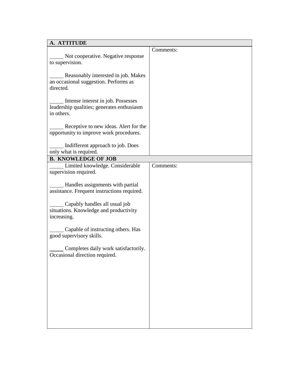| A. ATTITUDE                                                            |           |
|------------------------------------------------------------------------|-----------|
|                                                                        | Comments: |
| Not cooperative. Negative response                                     |           |
| to supervision.                                                        |           |
|                                                                        |           |
| Reasonably interested in job. Makes                                    |           |
| an occasional suggestion. Performs as<br>directed.                     |           |
|                                                                        |           |
| Intense interest in job. Possesses                                     |           |
| leadership qualities; generates enthusiasm                             |           |
| in others.                                                             |           |
|                                                                        |           |
| Receptive to new ideas. Alert for the                                  |           |
| opportunity to improve work procedures.                                |           |
|                                                                        |           |
| Indifferent approach to job. Does                                      |           |
| only what is required.                                                 |           |
| <b>B. KNOWLEDGE OF JOB</b>                                             |           |
| Limited knowledge. Considerable<br>supervision required.               | Comments: |
|                                                                        |           |
| - Handles assignments with partial                                     |           |
| assistance. Frequent instructions required.                            |           |
|                                                                        |           |
| Capably handles all usual job                                          |           |
| situations. Knowledge and productivity                                 |           |
| increasing.                                                            |           |
|                                                                        |           |
| Capable of instructing others. Has                                     |           |
| good supervisory skills.                                               |           |
|                                                                        |           |
| Completes daily work satisfactorily.<br>Occasional direction required. |           |
|                                                                        |           |
|                                                                        |           |
|                                                                        |           |
|                                                                        |           |
|                                                                        |           |
|                                                                        |           |
|                                                                        |           |
|                                                                        |           |
|                                                                        |           |
|                                                                        |           |
|                                                                        |           |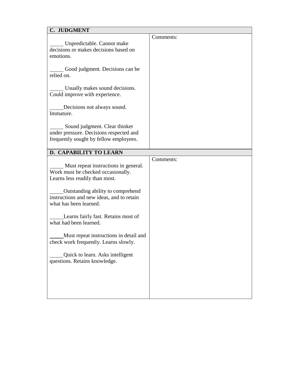| C. JUDGMENT                                                                                                        |           |
|--------------------------------------------------------------------------------------------------------------------|-----------|
| _Unpredictable. Cannot make<br>decisions or makes decisions based on<br>emotions.                                  | Comments: |
| Good judgment. Decisions can be<br>relied on.                                                                      |           |
| Usually makes sound decisions.<br>Could improve with experience.                                                   |           |
| Decisions not always sound.<br>Immature.                                                                           |           |
| Sound judgment. Clear thinker<br>under pressure. Decisions respected and<br>frequently sought by fellow employees. |           |
| D. CAPABILITY TO LEARN                                                                                             |           |
| Must repeat instructions in general.<br>Work must be checked occasionally.<br>Learns less readily than most.       | Comments: |
| Outstanding ability to comprehend<br>instructions and new ideas, and to retain<br>what has been learned.           |           |
| Learns fairly fast. Retains most of<br>what had been learned.                                                      |           |
| Must repeat instructions in detail and<br>check work frequently. Learns slowly.                                    |           |
| Quick to learn. Asks intelligent<br>questions. Retains knowledge.                                                  |           |
|                                                                                                                    |           |
|                                                                                                                    |           |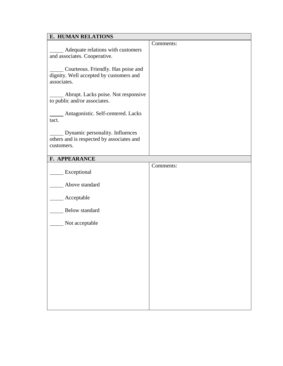| <b>E. HUMAN RELATIONS</b>                                                                    |           |  |  |  |
|----------------------------------------------------------------------------------------------|-----------|--|--|--|
|                                                                                              | Comments: |  |  |  |
| Adequate relations with customers<br>and associates. Cooperative.                            |           |  |  |  |
| Courteous. Friendly. Has poise and<br>dignity. Well accepted by customers and<br>associates. |           |  |  |  |
| Abrupt. Lacks poise. Not responsive<br>to public and/or associates.                          |           |  |  |  |
| Antagonistic. Self-centered. Lacks<br>tact.                                                  |           |  |  |  |
| Dynamic personality. Influences<br>others and is respected by associates and<br>customers.   |           |  |  |  |
| F. APPEARANCE                                                                                |           |  |  |  |
| Exceptional                                                                                  | Comments: |  |  |  |
|                                                                                              |           |  |  |  |
| Above standard                                                                               |           |  |  |  |
| Acceptable                                                                                   |           |  |  |  |
| Below standard                                                                               |           |  |  |  |
| Not acceptable                                                                               |           |  |  |  |
|                                                                                              |           |  |  |  |
|                                                                                              |           |  |  |  |
|                                                                                              |           |  |  |  |
|                                                                                              |           |  |  |  |
|                                                                                              |           |  |  |  |
|                                                                                              |           |  |  |  |
|                                                                                              |           |  |  |  |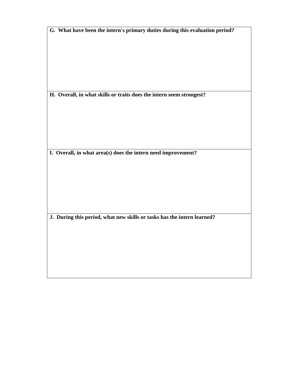**H. Overall, in what skills or traits does the intern seem strongest?**

**I. Overall, in what area(s) does the intern need improvement?**

**J. During this period, what new skills or tasks has the intern learned?**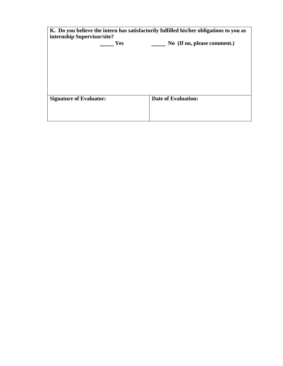| K. Do you believe the intern has satisfactorily fulfilled his/her obligations to you as<br>internship Supervisor/site? |            |                            |                             |  |  |
|------------------------------------------------------------------------------------------------------------------------|------------|----------------------------|-----------------------------|--|--|
|                                                                                                                        | <b>Yes</b> |                            | No (If no, please comment.) |  |  |
|                                                                                                                        |            |                            |                             |  |  |
|                                                                                                                        |            |                            |                             |  |  |
|                                                                                                                        |            |                            |                             |  |  |
|                                                                                                                        |            |                            |                             |  |  |
| <b>Signature of Evaluator:</b>                                                                                         |            | <b>Date of Evaluation:</b> |                             |  |  |
|                                                                                                                        |            |                            |                             |  |  |
|                                                                                                                        |            |                            |                             |  |  |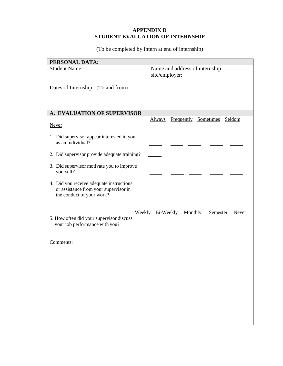# **APPENDIX D STUDENT EVALUATION OF INTERNSHIP**

(To be completed by Intern at end of internship)

| PERSONAL DATA:                                                                                                                 |  |
|--------------------------------------------------------------------------------------------------------------------------------|--|
| <b>Student Name:</b><br>Name and address of internship<br>site/employer:                                                       |  |
| Dates of Internship: (To and from)                                                                                             |  |
| A. EVALUATION OF SUPERVISOR                                                                                                    |  |
| Frequently Sometimes<br>Always<br>Seldom<br><b>Never</b>                                                                       |  |
| 1. Did supervisor appear interested in you<br>as an individual?                                                                |  |
| 2. Did supervisor provide adequate training?                                                                                   |  |
| 3. Did supervisor motivate you to improve<br>yourself?                                                                         |  |
| 4. Did you receive adequate instructions<br>or assistance from your supervisor in<br>the conduct of your work?                 |  |
| Weekly Bi-Weekly<br>Monthly<br>Semester<br>Never<br>5. How often did your supervisor discuss<br>your job performance with you? |  |
| Comments:                                                                                                                      |  |
|                                                                                                                                |  |
|                                                                                                                                |  |
|                                                                                                                                |  |
|                                                                                                                                |  |
|                                                                                                                                |  |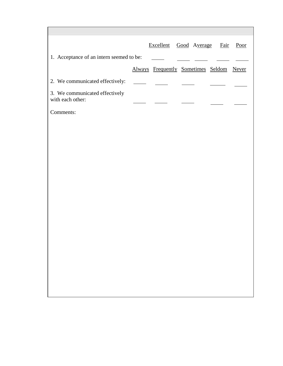|                                                    | Excellent Good Average Fair              |  | Poor |
|----------------------------------------------------|------------------------------------------|--|------|
| 1. Acceptance of an intern seemed to be:           |                                          |  |      |
|                                                    | Always Frequently Sometimes Seldom Never |  |      |
| 2. We communicated effectively:                    | $\sim$ $\sim$                            |  |      |
| 3. We communicated effectively<br>with each other: |                                          |  |      |
| Comments:                                          |                                          |  |      |
|                                                    |                                          |  |      |
|                                                    |                                          |  |      |
|                                                    |                                          |  |      |
|                                                    |                                          |  |      |
|                                                    |                                          |  |      |
|                                                    |                                          |  |      |
|                                                    |                                          |  |      |
|                                                    |                                          |  |      |
|                                                    |                                          |  |      |
|                                                    |                                          |  |      |
|                                                    |                                          |  |      |
|                                                    |                                          |  |      |
|                                                    |                                          |  |      |
|                                                    |                                          |  |      |
|                                                    |                                          |  |      |

r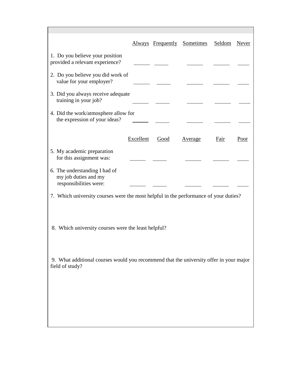|                                                                                                           |           |      | Always Frequently Sometimes | Seldom | <b>Never</b> |  |
|-----------------------------------------------------------------------------------------------------------|-----------|------|-----------------------------|--------|--------------|--|
| 1. Do you believe your position<br>provided a relevant experience?                                        |           |      |                             |        |              |  |
| 2. Do you believe you did work of<br>value for your employer?                                             |           |      |                             |        |              |  |
| 3. Did you always receive adequate<br>training in your job?                                               |           |      |                             |        |              |  |
| 4. Did the work/atmosphere allow for<br>the expression of your ideas?                                     |           |      |                             |        |              |  |
|                                                                                                           | Excellent | Good | <u>Average</u>              | Fair   | Poor         |  |
| 5. My academic preparation<br>for this assignment was:                                                    |           |      |                             |        |              |  |
| 6. The understanding I had of<br>my job duties and my<br>responsibilities were:                           |           |      |                             |        |              |  |
| 7. Which university courses were the most helpful in the performance of your duties?                      |           |      |                             |        |              |  |
| 8. Which university courses were the least helpful?                                                       |           |      |                             |        |              |  |
| 9. What additional courses would you recommend that the university offer in your major<br>field of study? |           |      |                             |        |              |  |
|                                                                                                           |           |      |                             |        |              |  |
|                                                                                                           |           |      |                             |        |              |  |
|                                                                                                           |           |      |                             |        |              |  |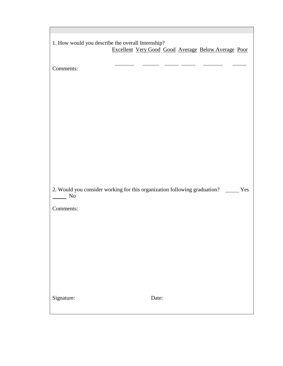| 1. How would you describe the overall Internship?<br>Excellent Very Good Good Average Below Average Poor |
|----------------------------------------------------------------------------------------------------------|
|                                                                                                          |
|                                                                                                          |
| Comments:                                                                                                |
|                                                                                                          |
|                                                                                                          |
|                                                                                                          |
|                                                                                                          |
|                                                                                                          |
|                                                                                                          |
|                                                                                                          |
|                                                                                                          |
|                                                                                                          |
|                                                                                                          |
|                                                                                                          |
|                                                                                                          |
|                                                                                                          |
| 2. Would you consider working for this organization following graduation? ______ Yes                     |
| $\rm No$                                                                                                 |
| Comments:                                                                                                |
|                                                                                                          |
|                                                                                                          |
|                                                                                                          |
|                                                                                                          |
|                                                                                                          |
|                                                                                                          |
|                                                                                                          |
|                                                                                                          |
|                                                                                                          |
|                                                                                                          |
| Signature:<br>Date:                                                                                      |
|                                                                                                          |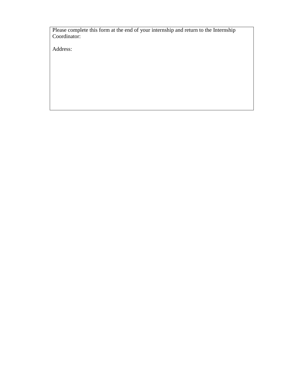Please complete this form at the end of your internship and return to the Internship Coordinator:

Address: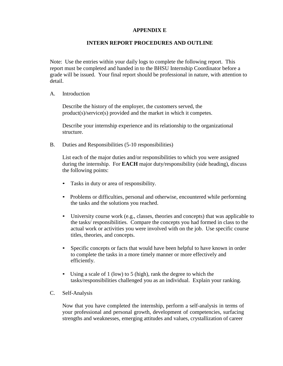#### **APPENDIX E**

#### **INTERN REPORT PROCEDURES AND OUTLINE**

Note: Use the entries within your daily logs to complete the following report. This report must be completed and handed in to the BHSU Internship Coordinator before a grade will be issued. Your final report should be professional in nature, with attention to detail.

A. Introduction

Describe the history of the employer, the customers served, the product(s)/service(s) provided and the market in which it competes.

Describe your internship experience and its relationship to the organizational structure.

B. Duties and Responsibilities (5-10 responsibilities)

List each of the major duties and/or responsibilities to which you were assigned during the internship. For **EACH** major duty/responsibility (side heading), discuss the following points:

- Tasks in duty or area of responsibility.
- Problems or difficulties, personal and otherwise, encountered while performing the tasks and the solutions you reached.
- University course work (e.g., classes, theories and concepts) that was applicable to the tasks/ responsibilities. Compare the concepts you had formed in class to the actual work or activities you were involved with on the job. Use specific course titles, theories, and concepts.
- Specific concepts or facts that would have been helpful to have known in order to complete the tasks in a more timely manner or more effectively and efficiently.
- Using a scale of 1 (low) to 5 (high), rank the degree to which the tasks/responsibilities challenged you as an individual. Explain your ranking.
- C. Self-Analysis

Now that you have completed the internship, perform a self-analysis in terms of your professional and personal growth, development of competencies, surfacing strengths and weaknesses, emerging attitudes and values, crystallization of career